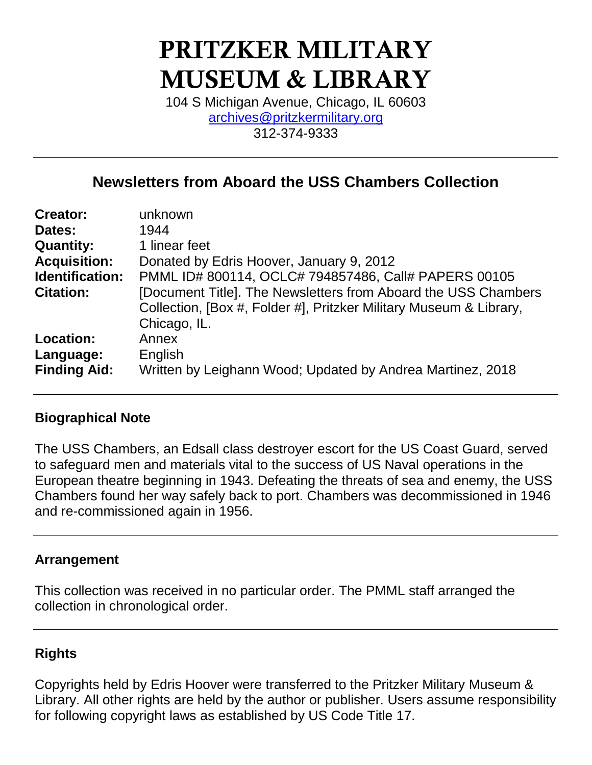# PRITZKER MILITARY MUSEUM & LIBRARY

104 S Michigan Avenue, Chicago, IL 60603 [archives@pritzkermilitary.org](mailto:archives@pritzkermilitary.org) 312-374-9333

# **Newsletters from Aboard the USS Chambers Collection**

| <b>Creator:</b>     | unknown                                                            |
|---------------------|--------------------------------------------------------------------|
| Dates:              | 1944                                                               |
| <b>Quantity:</b>    | 1 linear feet                                                      |
| <b>Acquisition:</b> | Donated by Edris Hoover, January 9, 2012                           |
| Identification:     | PMML ID# 800114, OCLC# 794857486, Call# PAPERS 00105               |
| <b>Citation:</b>    | [Document Title]. The Newsletters from Aboard the USS Chambers     |
|                     | Collection, [Box #, Folder #], Pritzker Military Museum & Library, |
|                     | Chicago, IL.                                                       |
| <b>Location:</b>    | Annex                                                              |
| Language:           | English                                                            |
| <b>Finding Aid:</b> | Written by Leighann Wood; Updated by Andrea Martinez, 2018         |
|                     |                                                                    |

## **Biographical Note**

The USS Chambers, an Edsall class destroyer escort for the US Coast Guard, served to safeguard men and materials vital to the success of US Naval operations in the European theatre beginning in 1943. Defeating the threats of sea and enemy, the USS Chambers found her way safely back to port. Chambers was decommissioned in 1946 and re-commissioned again in 1956.

## **Arrangement**

This collection was received in no particular order. The PMML staff arranged the collection in chronological order.

## **Rights**

Copyrights held by Edris Hoover were transferred to the Pritzker Military Museum & Library. All other rights are held by the author or publisher. Users assume responsibility for following copyright laws as established by US Code Title 17.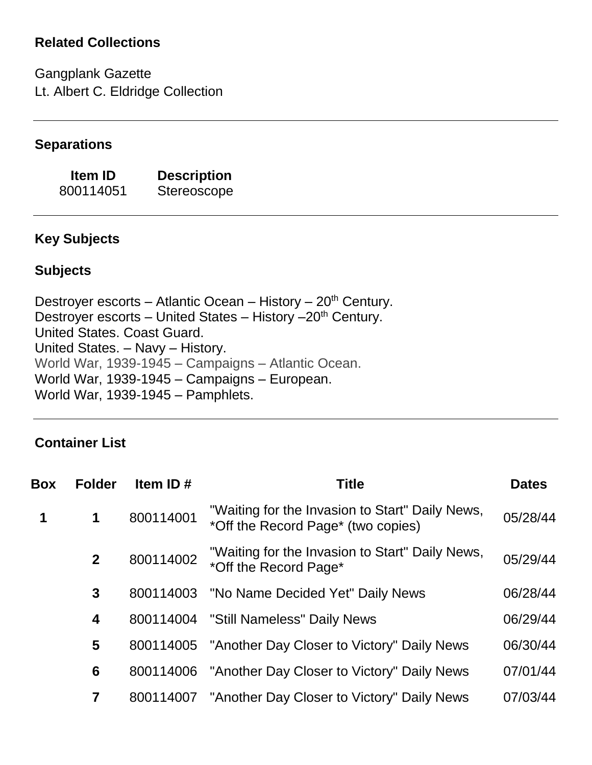# **Related Collections**

Gangplank Gazette Lt. Albert C. Eldridge Collection

## **Separations**

**Item ID Description** 800114051 Stereoscope

# **Key Subjects**

## **Subjects**

Destroyer escorts – Atlantic Ocean – History –  $20<sup>th</sup>$  Century. Destroyer escorts – United States – History  $-20<sup>th</sup>$  Century. United States. Coast Guard. United States. – Navy – History. World War, 1939-1945 – Campaigns – Atlantic Ocean. World War, 1939-1945 – Campaigns – European. World War, 1939-1945 – Pamphlets.

# **Container List**

| Box | <b>Folder</b> | Item ID#  | <b>Title</b>                                                                          | <b>Dates</b> |
|-----|---------------|-----------|---------------------------------------------------------------------------------------|--------------|
| 1   | $\mathbf 1$   | 800114001 | "Waiting for the Invasion to Start" Daily News,<br>*Off the Record Page* (two copies) | 05/28/44     |
|     | $\mathbf{2}$  | 800114002 | "Waiting for the Invasion to Start" Daily News,<br>*Off the Record Page*              | 05/29/44     |
|     | 3             | 800114003 | "No Name Decided Yet" Daily News                                                      | 06/28/44     |
|     | 4             |           | 800114004 "Still Nameless" Daily News                                                 | 06/29/44     |
|     | 5             |           | 800114005 "Another Day Closer to Victory" Daily News                                  | 06/30/44     |
|     | 6             |           | 800114006 "Another Day Closer to Victory" Daily News                                  | 07/01/44     |
|     |               | 800114007 | "Another Day Closer to Victory" Daily News                                            | 07/03/44     |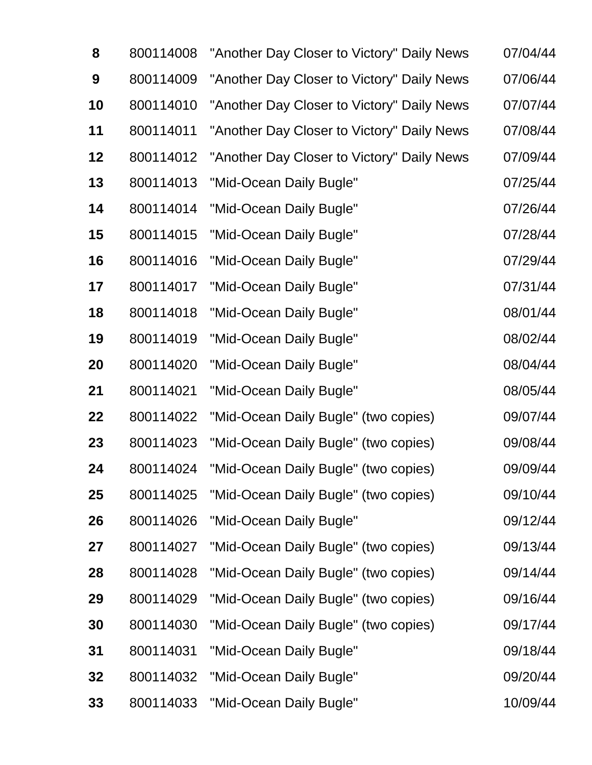| 8  | 800114008 | "Another Day Closer to Victory" Daily News | 07/04/44 |
|----|-----------|--------------------------------------------|----------|
| 9  | 800114009 | "Another Day Closer to Victory" Daily News | 07/06/44 |
| 10 | 800114010 | "Another Day Closer to Victory" Daily News | 07/07/44 |
| 11 | 800114011 | "Another Day Closer to Victory" Daily News | 07/08/44 |
| 12 | 800114012 | "Another Day Closer to Victory" Daily News | 07/09/44 |
| 13 | 800114013 | "Mid-Ocean Daily Bugle"                    | 07/25/44 |
| 14 | 800114014 | "Mid-Ocean Daily Bugle"                    | 07/26/44 |
| 15 | 800114015 | "Mid-Ocean Daily Bugle"                    | 07/28/44 |
| 16 | 800114016 | "Mid-Ocean Daily Bugle"                    | 07/29/44 |
| 17 | 800114017 | "Mid-Ocean Daily Bugle"                    | 07/31/44 |
| 18 | 800114018 | "Mid-Ocean Daily Bugle"                    | 08/01/44 |
| 19 | 800114019 | "Mid-Ocean Daily Bugle"                    | 08/02/44 |
| 20 | 800114020 | "Mid-Ocean Daily Bugle"                    | 08/04/44 |
| 21 | 800114021 | "Mid-Ocean Daily Bugle"                    | 08/05/44 |
| 22 | 800114022 | "Mid-Ocean Daily Bugle" (two copies)       | 09/07/44 |
| 23 | 800114023 | "Mid-Ocean Daily Bugle" (two copies)       | 09/08/44 |
| 24 | 800114024 | "Mid-Ocean Daily Bugle" (two copies)       | 09/09/44 |
| 25 | 800114025 | "Mid-Ocean Daily Bugle" (two copies)       | 09/10/44 |
| 26 | 800114026 | "Mid-Ocean Daily Bugle"                    | 09/12/44 |
| 27 | 800114027 | "Mid-Ocean Daily Bugle" (two copies)       | 09/13/44 |
| 28 | 800114028 | "Mid-Ocean Daily Bugle" (two copies)       | 09/14/44 |
| 29 | 800114029 | "Mid-Ocean Daily Bugle" (two copies)       | 09/16/44 |
| 30 | 800114030 | "Mid-Ocean Daily Bugle" (two copies)       | 09/17/44 |
| 31 | 800114031 | "Mid-Ocean Daily Bugle"                    | 09/18/44 |
| 32 | 800114032 | "Mid-Ocean Daily Bugle"                    | 09/20/44 |
| 33 | 800114033 | "Mid-Ocean Daily Bugle"                    | 10/09/44 |